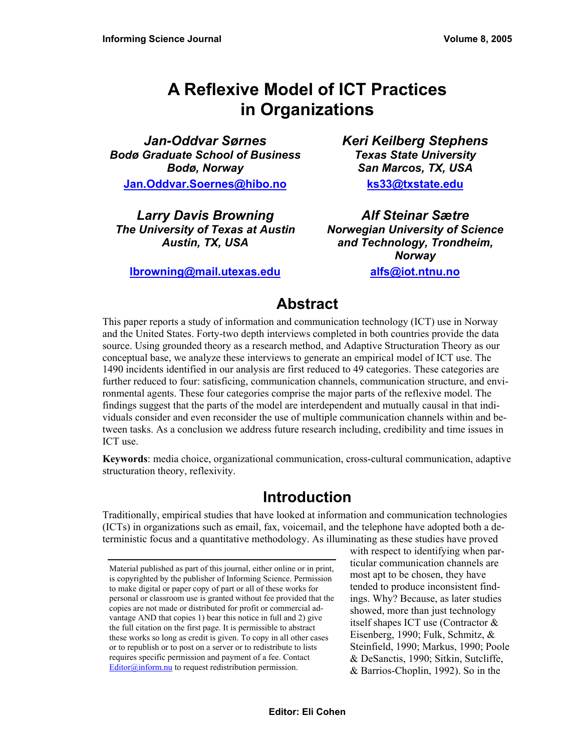# **A Reflexive Model of ICT Practices in Organizations**

*Jan-Oddvar Sørnes Bodø Graduate School of Business Bodø, Norway*  **[Jan.Oddvar.Soernes@hibo.no](mailto:Jan.Oddvar.Soernes@hibo.no)**

*Larry Davis Browning The University of Texas at Austin Austin, TX, USA* 

**[lbrowning@mail.utexas.edu](mailto:lbrowning@mail.utexas.edu)**

*Keri Keilberg Stephens Texas State University San Marcos, TX, USA*  **[ks33@txstate.edu](mailto:ks33@txstate.edu)**

*Alf Steinar Sætre Norwegian University of Science and Technology, Trondheim, Norway* 

**[alfs@iot.ntnu.no](mailto:alfs@iot.ntnu.no)**

# **Abstract**

This paper reports a study of information and communication technology (ICT) use in Norway and the United States. Forty-two depth interviews completed in both countries provide the data source. Using grounded theory as a research method, and Adaptive Structuration Theory as our conceptual base, we analyze these interviews to generate an empirical model of ICT use. The 1490 incidents identified in our analysis are first reduced to 49 categories. These categories are further reduced to four: satisficing, communication channels, communication structure, and environmental agents. These four categories comprise the major parts of the reflexive model. The findings suggest that the parts of the model are interdependent and mutually causal in that individuals consider and even reconsider the use of multiple communication channels within and between tasks. As a conclusion we address future research including, credibility and time issues in ICT use.

**Keywords**: media choice, organizational communication, cross-cultural communication, adaptive structuration theory, reflexivity.

## **Introduction**

Traditionally, empirical studies that have looked at information and communication technologies (ICTs) in organizations such as email, fax, voicemail, and the telephone have adopted both a deterministic focus and a quantitative methodology. As illuminating as these studies have proved

with respect to identifying when particular communication channels are most apt to be chosen, they have tended to produce inconsistent findings. Why? Because, as later studies showed, more than just technology itself shapes ICT use (Contractor & Eisenberg, 1990; Fulk, Schmitz, & Steinfield, 1990; Markus, 1990; Poole & DeSanctis, 1990; Sitkin, Sutcliffe, & Barrios-Choplin, 1992). So in the

Material published as part of this journal, either online or in print, is copyrighted by the publisher of Informing Science. Permission to make digital or paper copy of part or all of these works for personal or classroom use is granted without fee provided that the copies are not made or distributed for profit or commercial advantage AND that copies 1) bear this notice in full and 2) give the full citation on the first page. It is permissible to abstract these works so long as credit is given. To copy in all other cases or to republish or to post on a server or to redistribute to lists requires specific permission and payment of a fee. Contact [Editor@inform.nu](mailto:Editor@inform.nu) to request redistribution permission.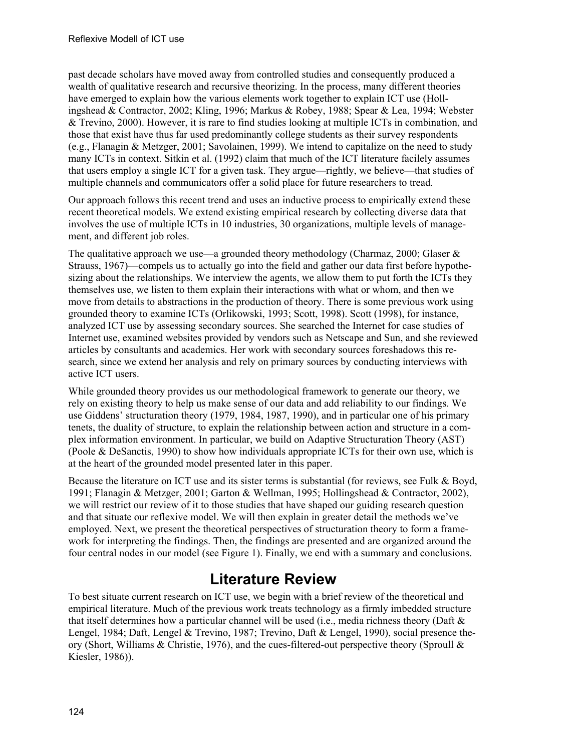past decade scholars have moved away from controlled studies and consequently produced a wealth of qualitative research and recursive theorizing. In the process, many different theories have emerged to explain how the various elements work together to explain ICT use (Hollingshead & Contractor, 2002; Kling, 1996; Markus & Robey, 1988; Spear & Lea, 1994; Webster & Trevino, 2000). However, it is rare to find studies looking at multiple ICTs in combination, and those that exist have thus far used predominantly college students as their survey respondents (e.g., Flanagin & Metzger, 2001; Savolainen, 1999). We intend to capitalize on the need to study many ICTs in context. Sitkin et al. (1992) claim that much of the ICT literature facilely assumes that users employ a single ICT for a given task. They argue—rightly, we believe—that studies of multiple channels and communicators offer a solid place for future researchers to tread.

Our approach follows this recent trend and uses an inductive process to empirically extend these recent theoretical models. We extend existing empirical research by collecting diverse data that involves the use of multiple ICTs in 10 industries, 30 organizations, multiple levels of management, and different job roles.

The qualitative approach we use—a grounded theory methodology (Charmaz, 2000; Glaser  $\&$ Strauss, 1967)—compels us to actually go into the field and gather our data first before hypothesizing about the relationships. We interview the agents, we allow them to put forth the ICTs they themselves use, we listen to them explain their interactions with what or whom, and then we move from details to abstractions in the production of theory. There is some previous work using grounded theory to examine ICTs (Orlikowski, 1993; Scott, 1998). Scott (1998), for instance, analyzed ICT use by assessing secondary sources. She searched the Internet for case studies of Internet use, examined websites provided by vendors such as Netscape and Sun, and she reviewed articles by consultants and academics. Her work with secondary sources foreshadows this research, since we extend her analysis and rely on primary sources by conducting interviews with active ICT users.

While grounded theory provides us our methodological framework to generate our theory, we rely on existing theory to help us make sense of our data and add reliability to our findings. We use Giddens' structuration theory (1979, 1984, 1987, 1990), and in particular one of his primary tenets, the duality of structure, to explain the relationship between action and structure in a complex information environment. In particular, we build on Adaptive Structuration Theory (AST) (Poole & DeSanctis, 1990) to show how individuals appropriate ICTs for their own use, which is at the heart of the grounded model presented later in this paper.

Because the literature on ICT use and its sister terms is substantial (for reviews, see Fulk & Boyd, 1991; Flanagin & Metzger, 2001; Garton & Wellman, 1995; Hollingshead & Contractor, 2002), we will restrict our review of it to those studies that have shaped our guiding research question and that situate our reflexive model. We will then explain in greater detail the methods we've employed. Next, we present the theoretical perspectives of structuration theory to form a framework for interpreting the findings. Then, the findings are presented and are organized around the four central nodes in our model (see Figure 1). Finally, we end with a summary and conclusions.

# **Literature Review**

To best situate current research on ICT use, we begin with a brief review of the theoretical and empirical literature. Much of the previous work treats technology as a firmly imbedded structure that itself determines how a particular channel will be used (i.e., media richness theory (Daft  $\&$ Lengel, 1984; Daft, Lengel & Trevino, 1987; Trevino, Daft & Lengel, 1990), social presence theory (Short, Williams & Christie, 1976), and the cues-filtered-out perspective theory (Sproull & Kiesler, 1986)).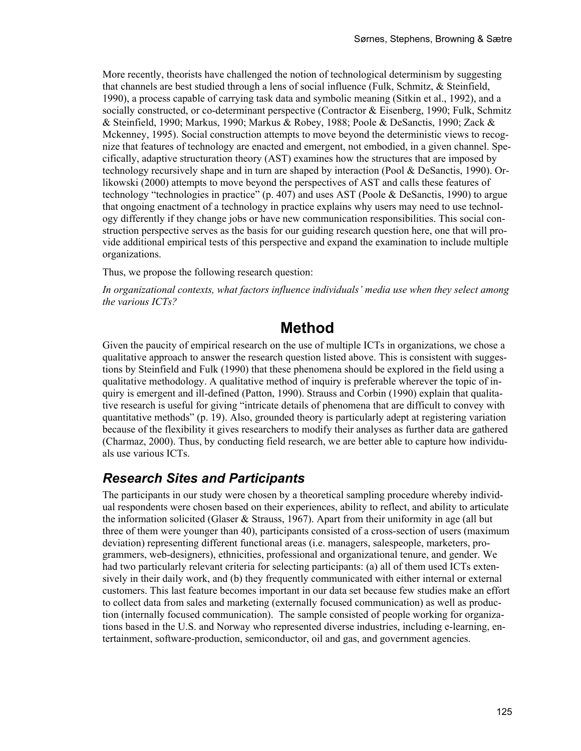More recently, theorists have challenged the notion of technological determinism by suggesting that channels are best studied through a lens of social influence (Fulk, Schmitz, & Steinfield, 1990), a process capable of carrying task data and symbolic meaning (Sitkin et al., 1992), and a socially constructed, or co-determinant perspective (Contractor & Eisenberg, 1990; Fulk, Schmitz & Steinfield, 1990; Markus, 1990; Markus & Robey, 1988; Poole & DeSanctis, 1990; Zack & Mckenney, 1995). Social construction attempts to move beyond the deterministic views to recognize that features of technology are enacted and emergent, not embodied, in a given channel. Specifically, adaptive structuration theory (AST) examines how the structures that are imposed by technology recursively shape and in turn are shaped by interaction (Pool & DeSanctis, 1990). Orlikowski (2000) attempts to move beyond the perspectives of AST and calls these features of technology "technologies in practice" (p. 407) and uses AST (Poole  $\&$  DeSanctis, 1990) to argue that ongoing enactment of a technology in practice explains why users may need to use technology differently if they change jobs or have new communication responsibilities. This social construction perspective serves as the basis for our guiding research question here, one that will provide additional empirical tests of this perspective and expand the examination to include multiple organizations.

Thus, we propose the following research question:

*In organizational contexts, what factors influence individuals' media use when they select among the various ICTs?* 

### **Method**

Given the paucity of empirical research on the use of multiple ICTs in organizations, we chose a qualitative approach to answer the research question listed above. This is consistent with suggestions by Steinfield and Fulk (1990) that these phenomena should be explored in the field using a qualitative methodology. A qualitative method of inquiry is preferable wherever the topic of inquiry is emergent and ill-defined (Patton, 1990). Strauss and Corbin (1990) explain that qualitative research is useful for giving "intricate details of phenomena that are difficult to convey with quantitative methods" (p. 19). Also, grounded theory is particularly adept at registering variation because of the flexibility it gives researchers to modify their analyses as further data are gathered (Charmaz, 2000). Thus, by conducting field research, we are better able to capture how individuals use various ICTs.

### *Research Sites and Participants*

The participants in our study were chosen by a theoretical sampling procedure whereby individual respondents were chosen based on their experiences, ability to reflect, and ability to articulate the information solicited (Glaser & Strauss, 1967). Apart from their uniformity in age (all but three of them were younger than 40), participants consisted of a cross-section of users (maximum deviation) representing different functional areas (i.e. managers, salespeople, marketers, programmers, web-designers), ethnicities, professional and organizational tenure, and gender. We had two particularly relevant criteria for selecting participants: (a) all of them used ICTs extensively in their daily work, and (b) they frequently communicated with either internal or external customers. This last feature becomes important in our data set because few studies make an effort to collect data from sales and marketing (externally focused communication) as well as production (internally focused communication). The sample consisted of people working for organizations based in the U.S. and Norway who represented diverse industries, including e-learning, entertainment, software-production, semiconductor, oil and gas, and government agencies.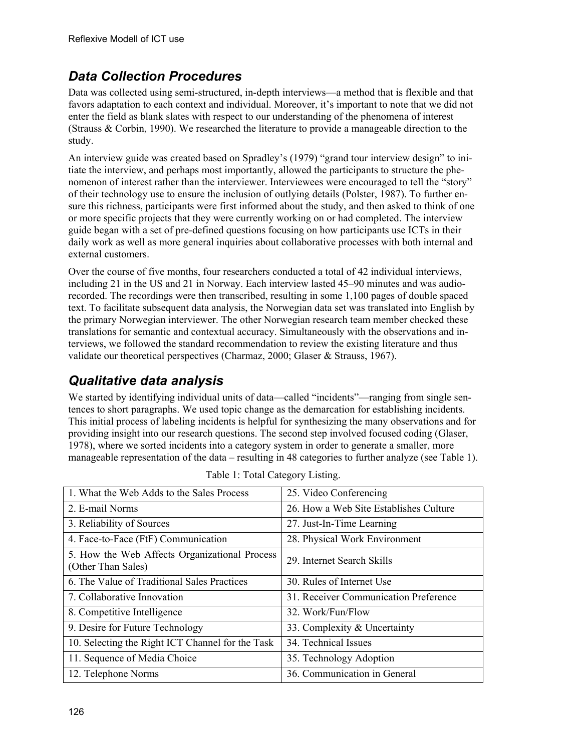## *Data Collection Procedures*

Data was collected using semi-structured, in-depth interviews—a method that is flexible and that favors adaptation to each context and individual. Moreover, it's important to note that we did not enter the field as blank slates with respect to our understanding of the phenomena of interest (Strauss & Corbin, 1990). We researched the literature to provide a manageable direction to the study.

An interview guide was created based on Spradley's (1979) "grand tour interview design" to initiate the interview, and perhaps most importantly, allowed the participants to structure the phenomenon of interest rather than the interviewer. Interviewees were encouraged to tell the "story" of their technology use to ensure the inclusion of outlying details (Polster, 1987). To further ensure this richness, participants were first informed about the study, and then asked to think of one or more specific projects that they were currently working on or had completed. The interview guide began with a set of pre-defined questions focusing on how participants use ICTs in their daily work as well as more general inquiries about collaborative processes with both internal and external customers.

Over the course of five months, four researchers conducted a total of 42 individual interviews, including 21 in the US and 21 in Norway. Each interview lasted 45–90 minutes and was audiorecorded. The recordings were then transcribed, resulting in some 1,100 pages of double spaced text. To facilitate subsequent data analysis, the Norwegian data set was translated into English by the primary Norwegian interviewer. The other Norwegian research team member checked these translations for semantic and contextual accuracy. Simultaneously with the observations and interviews, we followed the standard recommendation to review the existing literature and thus validate our theoretical perspectives (Charmaz, 2000; Glaser & Strauss, 1967).

## *Qualitative data analysis*

We started by identifying individual units of data—called "incidents"—ranging from single sentences to short paragraphs. We used topic change as the demarcation for establishing incidents. This initial process of labeling incidents is helpful for synthesizing the many observations and for providing insight into our research questions. The second step involved focused coding (Glaser, 1978), where we sorted incidents into a category system in order to generate a smaller, more manageable representation of the data – resulting in 48 categories to further analyze (see Table 1).

| 1. What the Web Adds to the Sales Process                           | 25. Video Conferencing                 |
|---------------------------------------------------------------------|----------------------------------------|
| 2. E-mail Norms                                                     | 26. How a Web Site Establishes Culture |
| 3. Reliability of Sources                                           | 27. Just-In-Time Learning              |
| 4. Face-to-Face (FtF) Communication                                 | 28. Physical Work Environment          |
| 5. How the Web Affects Organizational Process<br>(Other Than Sales) | 29. Internet Search Skills             |
| 6. The Value of Traditional Sales Practices                         | 30. Rules of Internet Use              |
| 7. Collaborative Innovation                                         | 31. Receiver Communication Preference  |
| 8. Competitive Intelligence                                         | 32. Work/Fun/Flow                      |
| 9. Desire for Future Technology                                     | 33. Complexity & Uncertainty           |
| 10. Selecting the Right ICT Channel for the Task                    | 34. Technical Issues                   |
| 11. Sequence of Media Choice                                        | 35. Technology Adoption                |
| 12. Telephone Norms                                                 | 36. Communication in General           |

| Table 1: Total Category Listing. |  |
|----------------------------------|--|
|----------------------------------|--|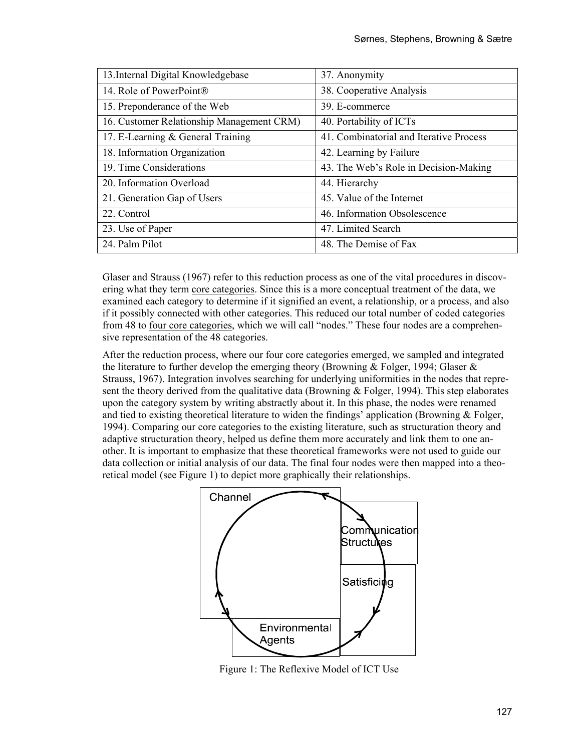| 13. Internal Digital Knowledgebase        | 37. Anonymity                           |
|-------------------------------------------|-----------------------------------------|
| 14. Role of PowerPoint®                   | 38. Cooperative Analysis                |
| 15. Preponderance of the Web              | 39. E-commerce                          |
| 16. Customer Relationship Management CRM) | 40. Portability of ICTs                 |
| 17. E-Learning & General Training         | 41. Combinatorial and Iterative Process |
| 18. Information Organization              | 42. Learning by Failure                 |
| 19. Time Considerations                   | 43. The Web's Role in Decision-Making   |
| 20. Information Overload                  | 44. Hierarchy                           |
| 21. Generation Gap of Users               | 45. Value of the Internet               |
| 22. Control                               | 46. Information Obsolescence            |
| 23. Use of Paper                          | 47. Limited Search                      |
| 24. Palm Pilot                            | 48. The Demise of Fax                   |

Glaser and Strauss (1967) refer to this reduction process as one of the vital procedures in discovering what they term core categories. Since this is a more conceptual treatment of the data, we examined each category to determine if it signified an event, a relationship, or a process, and also if it possibly connected with other categories. This reduced our total number of coded categories from 48 to four core categories, which we will call "nodes." These four nodes are a comprehensive representation of the 48 categories.

After the reduction process, where our four core categories emerged, we sampled and integrated the literature to further develop the emerging theory (Browning & Folger, 1994; Glaser & Strauss, 1967). Integration involves searching for underlying uniformities in the nodes that represent the theory derived from the qualitative data (Browning  $\&$  Folger, 1994). This step elaborates upon the category system by writing abstractly about it. In this phase, the nodes were renamed and tied to existing theoretical literature to widen the findings' application (Browning & Folger, 1994). Comparing our core categories to the existing literature, such as structuration theory and adaptive structuration theory, helped us define them more accurately and link them to one another. It is important to emphasize that these theoretical frameworks were not used to guide our data collection or initial analysis of our data. The final four nodes were then mapped into a theoretical model (see Figure 1) to depict more graphically their relationships.



Figure 1: The Reflexive Model of ICT Use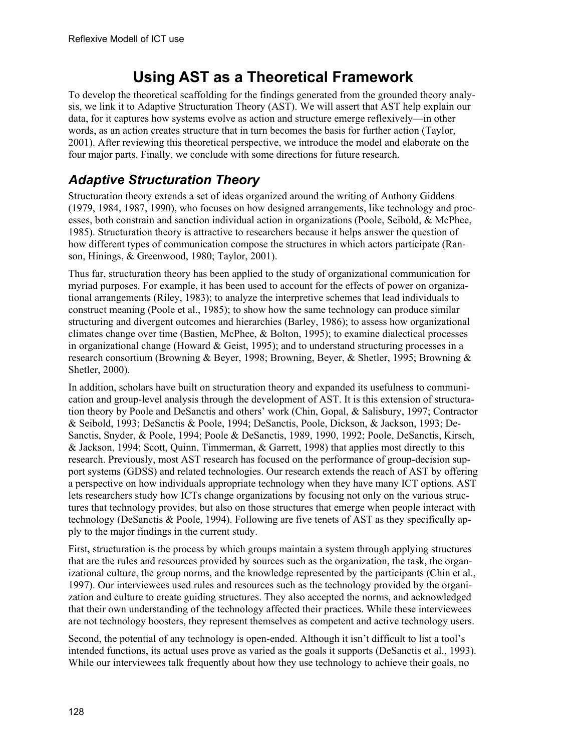# **Using AST as a Theoretical Framework**

To develop the theoretical scaffolding for the findings generated from the grounded theory analysis, we link it to Adaptive Structuration Theory (AST). We will assert that AST help explain our data, for it captures how systems evolve as action and structure emerge reflexively—in other words, as an action creates structure that in turn becomes the basis for further action (Taylor, 2001). After reviewing this theoretical perspective, we introduce the model and elaborate on the four major parts. Finally, we conclude with some directions for future research.

## *Adaptive Structuration Theory*

Structuration theory extends a set of ideas organized around the writing of Anthony Giddens (1979, 1984, 1987, 1990), who focuses on how designed arrangements, like technology and processes, both constrain and sanction individual action in organizations (Poole, Seibold, & McPhee, 1985). Structuration theory is attractive to researchers because it helps answer the question of how different types of communication compose the structures in which actors participate (Ranson, Hinings, & Greenwood, 1980; Taylor, 2001).

Thus far, structuration theory has been applied to the study of organizational communication for myriad purposes. For example, it has been used to account for the effects of power on organizational arrangements (Riley, 1983); to analyze the interpretive schemes that lead individuals to construct meaning (Poole et al., 1985); to show how the same technology can produce similar structuring and divergent outcomes and hierarchies (Barley, 1986); to assess how organizational climates change over time (Bastien, McPhee, & Bolton, 1995); to examine dialectical processes in organizational change (Howard & Geist, 1995); and to understand structuring processes in a research consortium (Browning & Beyer, 1998; Browning, Beyer, & Shetler, 1995; Browning & Shetler, 2000).

In addition, scholars have built on structuration theory and expanded its usefulness to communication and group-level analysis through the development of AST. It is this extension of structuration theory by Poole and DeSanctis and others' work (Chin, Gopal, & Salisbury, 1997; Contractor & Seibold, 1993; DeSanctis & Poole, 1994; DeSanctis, Poole, Dickson, & Jackson, 1993; De-Sanctis, Snyder, & Poole, 1994; Poole & DeSanctis, 1989, 1990, 1992; Poole, DeSanctis, Kirsch, & Jackson, 1994; Scott, Quinn, Timmerman, & Garrett, 1998) that applies most directly to this research. Previously, most AST research has focused on the performance of group-decision support systems (GDSS) and related technologies. Our research extends the reach of AST by offering a perspective on how individuals appropriate technology when they have many ICT options. AST lets researchers study how ICTs change organizations by focusing not only on the various structures that technology provides, but also on those structures that emerge when people interact with technology (DeSanctis & Poole, 1994). Following are five tenets of AST as they specifically apply to the major findings in the current study.

First, structuration is the process by which groups maintain a system through applying structures that are the rules and resources provided by sources such as the organization, the task, the organizational culture, the group norms, and the knowledge represented by the participants (Chin et al., 1997). Our interviewees used rules and resources such as the technology provided by the organization and culture to create guiding structures. They also accepted the norms, and acknowledged that their own understanding of the technology affected their practices. While these interviewees are not technology boosters, they represent themselves as competent and active technology users.

Second, the potential of any technology is open-ended. Although it isn't difficult to list a tool's intended functions, its actual uses prove as varied as the goals it supports (DeSanctis et al., 1993). While our interviewees talk frequently about how they use technology to achieve their goals, no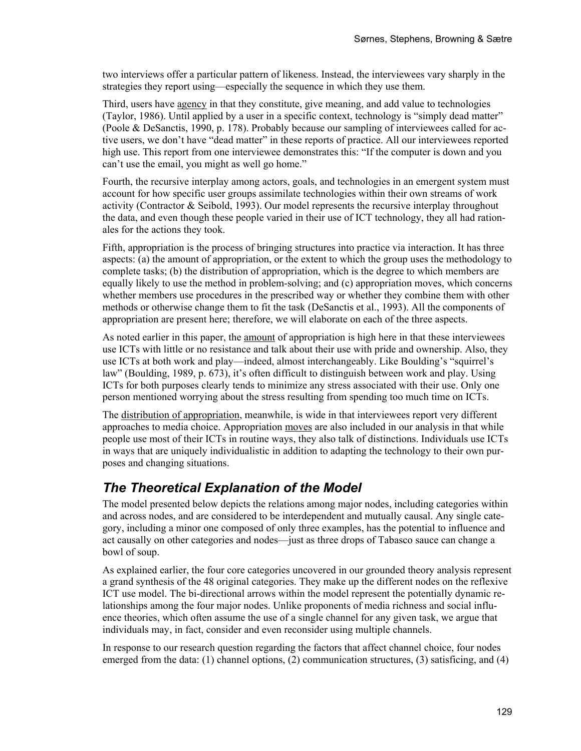two interviews offer a particular pattern of likeness. Instead, the interviewees vary sharply in the strategies they report using—especially the sequence in which they use them.

Third, users have agency in that they constitute, give meaning, and add value to technologies (Taylor, 1986). Until applied by a user in a specific context, technology is "simply dead matter" (Poole & DeSanctis, 1990, p. 178). Probably because our sampling of interviewees called for active users, we don't have "dead matter" in these reports of practice. All our interviewees reported high use. This report from one interviewee demonstrates this: "If the computer is down and you can't use the email, you might as well go home."

Fourth, the recursive interplay among actors, goals, and technologies in an emergent system must account for how specific user groups assimilate technologies within their own streams of work activity (Contractor & Seibold, 1993). Our model represents the recursive interplay throughout the data, and even though these people varied in their use of ICT technology, they all had rationales for the actions they took.

Fifth, appropriation is the process of bringing structures into practice via interaction. It has three aspects: (a) the amount of appropriation, or the extent to which the group uses the methodology to complete tasks; (b) the distribution of appropriation, which is the degree to which members are equally likely to use the method in problem-solving; and (c) appropriation moves, which concerns whether members use procedures in the prescribed way or whether they combine them with other methods or otherwise change them to fit the task (DeSanctis et al., 1993). All the components of appropriation are present here; therefore, we will elaborate on each of the three aspects.

As noted earlier in this paper, the amount of appropriation is high here in that these interviewees use ICTs with little or no resistance and talk about their use with pride and ownership. Also, they use ICTs at both work and play—indeed, almost interchangeably. Like Boulding's "squirrel's law" (Boulding, 1989, p. 673), it's often difficult to distinguish between work and play. Using ICTs for both purposes clearly tends to minimize any stress associated with their use. Only one person mentioned worrying about the stress resulting from spending too much time on ICTs.

The distribution of appropriation, meanwhile, is wide in that interviewees report very different approaches to media choice. Appropriation moves are also included in our analysis in that while people use most of their ICTs in routine ways, they also talk of distinctions. Individuals use ICTs in ways that are uniquely individualistic in addition to adapting the technology to their own purposes and changing situations.

### *The Theoretical Explanation of the Model*

The model presented below depicts the relations among major nodes, including categories within and across nodes, and are considered to be interdependent and mutually causal. Any single category, including a minor one composed of only three examples, has the potential to influence and act causally on other categories and nodes—just as three drops of Tabasco sauce can change a bowl of soup.

As explained earlier, the four core categories uncovered in our grounded theory analysis represent a grand synthesis of the 48 original categories. They make up the different nodes on the reflexive ICT use model. The bi-directional arrows within the model represent the potentially dynamic relationships among the four major nodes. Unlike proponents of media richness and social influence theories, which often assume the use of a single channel for any given task, we argue that individuals may, in fact, consider and even reconsider using multiple channels.

In response to our research question regarding the factors that affect channel choice, four nodes emerged from the data: (1) channel options, (2) communication structures, (3) satisficing, and (4)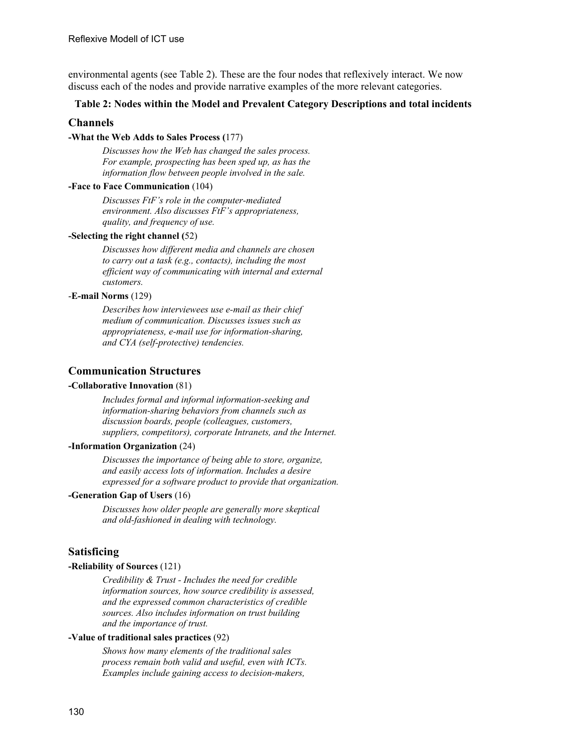environmental agents (see Table 2). These are the four nodes that reflexively interact. We now discuss each of the nodes and provide narrative examples of the more relevant categories.

#### **Table 2: Nodes within the Model and Prevalent Category Descriptions and total incidents**

#### **Channels**

#### **-What the Web Adds to Sales Process (**177)

*Discusses how the Web has changed the sales process. For example, prospecting has been sped up, as has the information flow between people involved in the sale.*

#### **-Face to Face Communication** (104)

*Discusses FtF's role in the computer-mediated environment. Also discusses FtF's appropriateness, quality, and frequency of use.* 

#### **-Selecting the right channel (**52)

*Discusses how different media and channels are chosen to carry out a task (e.g., contacts), including the most efficient way of communicating with internal and external customers.* 

#### -**E-mail Norms** (129)

*Describes how interviewees use e-mail as their chief medium of communication. Discusses issues such as appropriateness, e-mail use for information-sharing, and CYA (self-protective) tendencies.*

#### **Communication Structures**

#### **-Collaborative Innovation** (81)

*Includes formal and informal information-seeking and information-sharing behaviors from channels such as discussion boards, people (colleagues, customers, suppliers, competitors), corporate Intranets, and the Internet.* 

#### **-Information Organization** (24)

*Discusses the importance of being able to store, organize, and easily access lots of information. Includes a desire expressed for a software product to provide that organization.* 

#### **-Generation Gap of Users** (16)

*Discusses how older people are generally more skeptical and old-fashioned in dealing with technology.* 

#### **Satisficing**

#### **-Reliability of Sources** (121)

*Credibility & Trust - Includes the need for credible information sources, how source credibility is assessed, and the expressed common characteristics of credible sources. Also includes information on trust building and the importance of trust.* 

#### **-Value of traditional sales practices** (92)

*Shows how many elements of the traditional sales process remain both valid and useful, even with ICTs. Examples include gaining access to decision-makers,*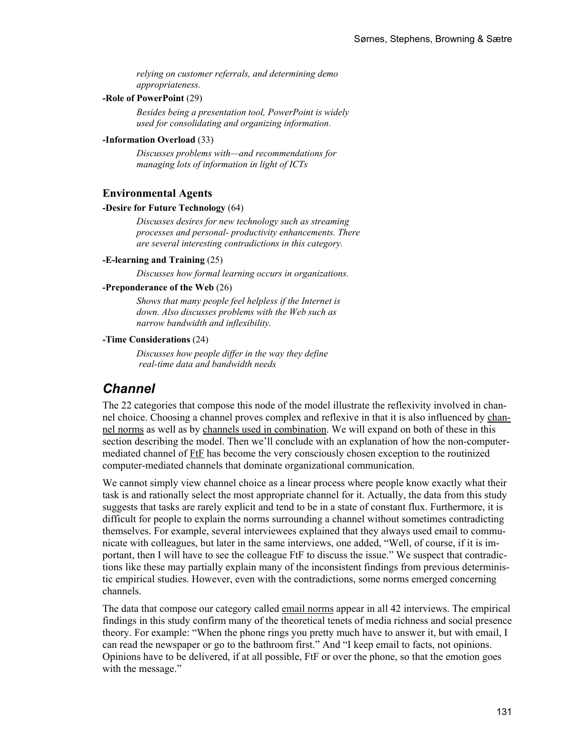*relying on customer referrals, and determining demo appropriateness.* 

#### **-Role of PowerPoint** (29)

*Besides being a presentation tool, PowerPoint is widely used for consolidating and organizing information.* 

#### **-Information Overload** (33)

*Discusses problems with—and recommendations for managing lots of information in light of ICTs* 

#### **Environmental Agents**

#### **-Desire for Future Technology** (64)

*Discusses desires for new technology such as streaming processes and personal- productivity enhancements. There are several interesting contradictions in this category.* 

#### **-E-learning and Training** (25)

*Discusses how formal learning occurs in organizations.* 

#### **-Preponderance of the Web** (26)

*Shows that many people feel helpless if the Internet is down. Also discusses problems with the Web such as narrow bandwidth and inflexibility.* 

#### **-Time Considerations** (24)

*Discusses how people differ in the way they define real-time data and bandwidth needs* 

### *Channel*

The 22 categories that compose this node of the model illustrate the reflexivity involved in channel choice. Choosing a channel proves complex and reflexive in that it is also influenced by channel norms as well as by channels used in combination. We will expand on both of these in this section describing the model. Then we'll conclude with an explanation of how the non-computermediated channel of FtF has become the very consciously chosen exception to the routinized computer-mediated channels that dominate organizational communication.

We cannot simply view channel choice as a linear process where people know exactly what their task is and rationally select the most appropriate channel for it. Actually, the data from this study suggests that tasks are rarely explicit and tend to be in a state of constant flux. Furthermore, it is difficult for people to explain the norms surrounding a channel without sometimes contradicting themselves. For example, several interviewees explained that they always used email to communicate with colleagues, but later in the same interviews, one added, "Well, of course, if it is important, then I will have to see the colleague FtF to discuss the issue." We suspect that contradictions like these may partially explain many of the inconsistent findings from previous deterministic empirical studies. However, even with the contradictions, some norms emerged concerning channels.

The data that compose our category called email norms appear in all 42 interviews. The empirical findings in this study confirm many of the theoretical tenets of media richness and social presence theory. For example: "When the phone rings you pretty much have to answer it, but with email, I can read the newspaper or go to the bathroom first." And "I keep email to facts, not opinions. Opinions have to be delivered, if at all possible, FtF or over the phone, so that the emotion goes with the message."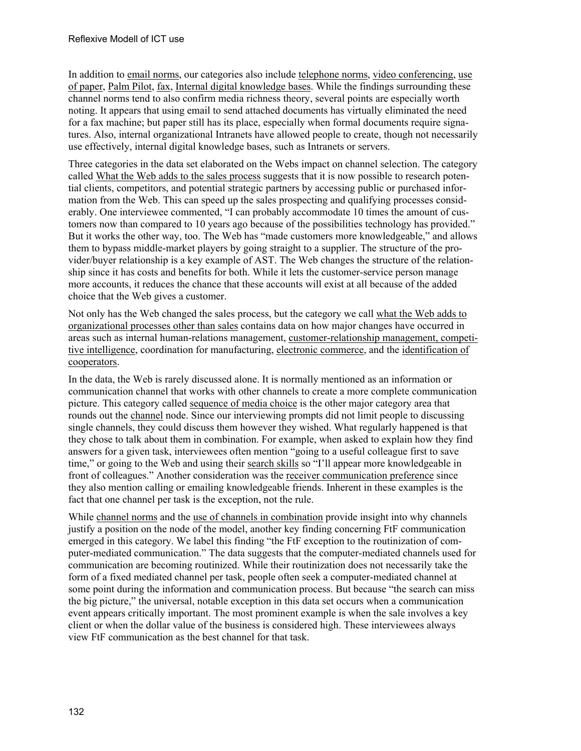In addition to email norms, our categories also include telephone norms, video conferencing, use of paper, Palm Pilot, fax, Internal digital knowledge bases. While the findings surrounding these channel norms tend to also confirm media richness theory, several points are especially worth noting. It appears that using email to send attached documents has virtually eliminated the need for a fax machine; but paper still has its place, especially when formal documents require signatures. Also, internal organizational Intranets have allowed people to create, though not necessarily use effectively, internal digital knowledge bases, such as Intranets or servers.

Three categories in the data set elaborated on the Webs impact on channel selection. The category called What the Web adds to the sales process suggests that it is now possible to research potential clients, competitors, and potential strategic partners by accessing public or purchased information from the Web. This can speed up the sales prospecting and qualifying processes considerably. One interviewee commented, "I can probably accommodate 10 times the amount of customers now than compared to 10 years ago because of the possibilities technology has provided." But it works the other way, too. The Web has "made customers more knowledgeable," and allows them to bypass middle-market players by going straight to a supplier. The structure of the provider/buyer relationship is a key example of AST. The Web changes the structure of the relationship since it has costs and benefits for both. While it lets the customer-service person manage more accounts, it reduces the chance that these accounts will exist at all because of the added choice that the Web gives a customer.

Not only has the Web changed the sales process, but the category we call what the Web adds to organizational processes other than sales contains data on how major changes have occurred in areas such as internal human-relations management, customer-relationship management, competitive intelligence, coordination for manufacturing, electronic commerce, and the identification of cooperators.

In the data, the Web is rarely discussed alone. It is normally mentioned as an information or communication channel that works with other channels to create a more complete communication picture. This category called sequence of media choice is the other major category area that rounds out the channel node. Since our interviewing prompts did not limit people to discussing single channels, they could discuss them however they wished. What regularly happened is that they chose to talk about them in combination. For example, when asked to explain how they find answers for a given task, interviewees often mention "going to a useful colleague first to save time," or going to the Web and using their search skills so "I'll appear more knowledgeable in front of colleagues." Another consideration was the receiver communication preference since they also mention calling or emailing knowledgeable friends. Inherent in these examples is the fact that one channel per task is the exception, not the rule.

While channel norms and the use of channels in combination provide insight into why channels justify a position on the node of the model, another key finding concerning FtF communication emerged in this category. We label this finding "the FtF exception to the routinization of computer-mediated communication." The data suggests that the computer-mediated channels used for communication are becoming routinized. While their routinization does not necessarily take the form of a fixed mediated channel per task, people often seek a computer-mediated channel at some point during the information and communication process. But because "the search can miss the big picture," the universal, notable exception in this data set occurs when a communication event appears critically important. The most prominent example is when the sale involves a key client or when the dollar value of the business is considered high. These interviewees always view FtF communication as the best channel for that task.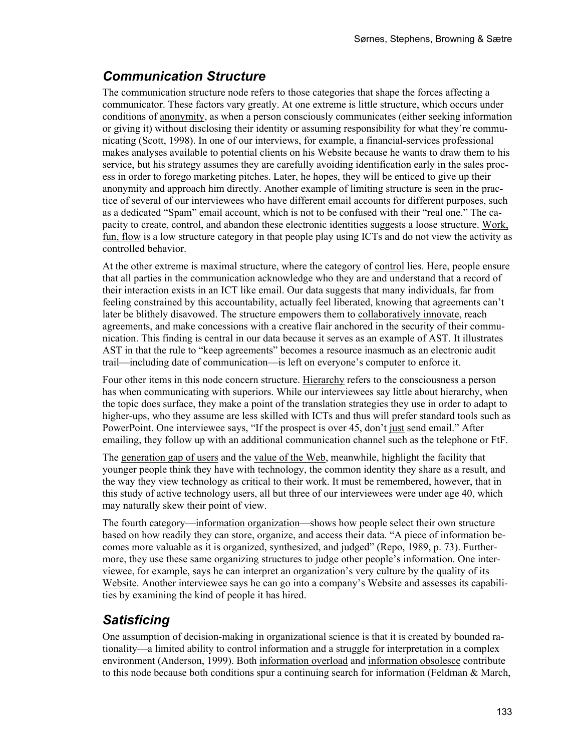### *Communication Structure*

The communication structure node refers to those categories that shape the forces affecting a communicator. These factors vary greatly. At one extreme is little structure, which occurs under conditions of anonymity, as when a person consciously communicates (either seeking information or giving it) without disclosing their identity or assuming responsibility for what they're communicating (Scott, 1998). In one of our interviews, for example, a financial-services professional makes analyses available to potential clients on his Website because he wants to draw them to his service, but his strategy assumes they are carefully avoiding identification early in the sales process in order to forego marketing pitches. Later, he hopes, they will be enticed to give up their anonymity and approach him directly. Another example of limiting structure is seen in the practice of several of our interviewees who have different email accounts for different purposes, such as a dedicated "Spam" email account, which is not to be confused with their "real one." The capacity to create, control, and abandon these electronic identities suggests a loose structure. Work, fun, flow is a low structure category in that people play using ICTs and do not view the activity as controlled behavior.

At the other extreme is maximal structure, where the category of control lies. Here, people ensure that all parties in the communication acknowledge who they are and understand that a record of their interaction exists in an ICT like email. Our data suggests that many individuals, far from feeling constrained by this accountability, actually feel liberated, knowing that agreements can't later be blithely disavowed. The structure empowers them to collaboratively innovate, reach agreements, and make concessions with a creative flair anchored in the security of their communication. This finding is central in our data because it serves as an example of AST. It illustrates AST in that the rule to "keep agreements" becomes a resource inasmuch as an electronic audit trail—including date of communication—is left on everyone's computer to enforce it.

Four other items in this node concern structure. Hierarchy refers to the consciousness a person has when communicating with superiors. While our interviewees say little about hierarchy, when the topic does surface, they make a point of the translation strategies they use in order to adapt to higher-ups, who they assume are less skilled with ICTs and thus will prefer standard tools such as PowerPoint. One interviewee says, "If the prospect is over 45, don't just send email." After emailing, they follow up with an additional communication channel such as the telephone or FtF.

The generation gap of users and the value of the Web, meanwhile, highlight the facility that younger people think they have with technology, the common identity they share as a result, and the way they view technology as critical to their work. It must be remembered, however, that in this study of active technology users, all but three of our interviewees were under age 40, which may naturally skew their point of view.

The fourth category—information organization—shows how people select their own structure based on how readily they can store, organize, and access their data. "A piece of information becomes more valuable as it is organized, synthesized, and judged" (Repo, 1989, p. 73). Furthermore, they use these same organizing structures to judge other people's information. One interviewee, for example, says he can interpret an organization's very culture by the quality of its Website. Another interviewee says he can go into a company's Website and assesses its capabilities by examining the kind of people it has hired.

### *Satisficing*

One assumption of decision-making in organizational science is that it is created by bounded rationality—a limited ability to control information and a struggle for interpretation in a complex environment (Anderson, 1999). Both information overload and information obsolesce contribute to this node because both conditions spur a continuing search for information (Feldman & March,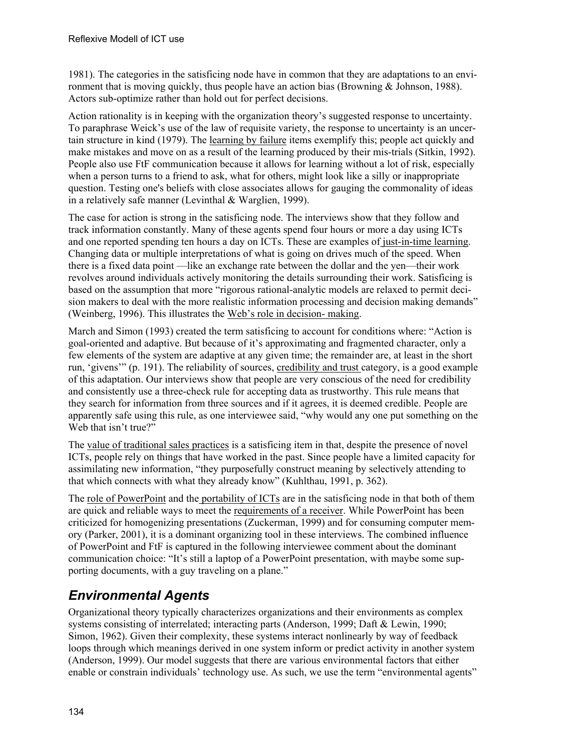1981). The categories in the satisficing node have in common that they are adaptations to an environment that is moving quickly, thus people have an action bias (Browning & Johnson, 1988). Actors sub-optimize rather than hold out for perfect decisions.

Action rationality is in keeping with the organization theory's suggested response to uncertainty. To paraphrase Weick's use of the law of requisite variety, the response to uncertainty is an uncertain structure in kind (1979). The learning by failure items exemplify this; people act quickly and make mistakes and move on as a result of the learning produced by their mis-trials (Sitkin, 1992). People also use FtF communication because it allows for learning without a lot of risk, especially when a person turns to a friend to ask, what for others, might look like a silly or inappropriate question. Testing one's beliefs with close associates allows for gauging the commonality of ideas in a relatively safe manner (Levinthal & Warglien, 1999).

The case for action is strong in the satisficing node. The interviews show that they follow and track information constantly. Many of these agents spend four hours or more a day using ICTs and one reported spending ten hours a day on ICTs. These are examples of just-in-time learning. Changing data or multiple interpretations of what is going on drives much of the speed. When there is a fixed data point —like an exchange rate between the dollar and the yen—their work revolves around individuals actively monitoring the details surrounding their work. Satisficing is based on the assumption that more "rigorous rational-analytic models are relaxed to permit decision makers to deal with the more realistic information processing and decision making demands" (Weinberg, 1996). This illustrates the Web's role in decision- making.

March and Simon (1993) created the term satisficing to account for conditions where: "Action is goal-oriented and adaptive. But because of it's approximating and fragmented character, only a few elements of the system are adaptive at any given time; the remainder are, at least in the short run, 'givens'" (p. 191). The reliability of sources, credibility and trust category, is a good example of this adaptation. Our interviews show that people are very conscious of the need for credibility and consistently use a three-check rule for accepting data as trustworthy. This rule means that they search for information from three sources and if it agrees, it is deemed credible. People are apparently safe using this rule, as one interviewee said, "why would any one put something on the Web that isn't true?"

The value of traditional sales practices is a satisficing item in that, despite the presence of novel ICTs, people rely on things that have worked in the past. Since people have a limited capacity for assimilating new information, "they purposefully construct meaning by selectively attending to that which connects with what they already know" (Kuhlthau, 1991, p. 362).

The <u>role of PowerPoint</u> and the portability of ICTs are in the satisficing node in that both of them are quick and reliable ways to meet the requirements of a receiver. While PowerPoint has been criticized for homogenizing presentations (Zuckerman, 1999) and for consuming computer memory (Parker, 2001), it is a dominant organizing tool in these interviews. The combined influence of PowerPoint and FtF is captured in the following interviewee comment about the dominant communication choice: "It's still a laptop of a PowerPoint presentation, with maybe some supporting documents, with a guy traveling on a plane."

## *Environmental Agents*

Organizational theory typically characterizes organizations and their environments as complex systems consisting of interrelated; interacting parts (Anderson, 1999; Daft & Lewin, 1990; Simon, 1962). Given their complexity, these systems interact nonlinearly by way of feedback loops through which meanings derived in one system inform or predict activity in another system (Anderson, 1999). Our model suggests that there are various environmental factors that either enable or constrain individuals' technology use. As such, we use the term "environmental agents"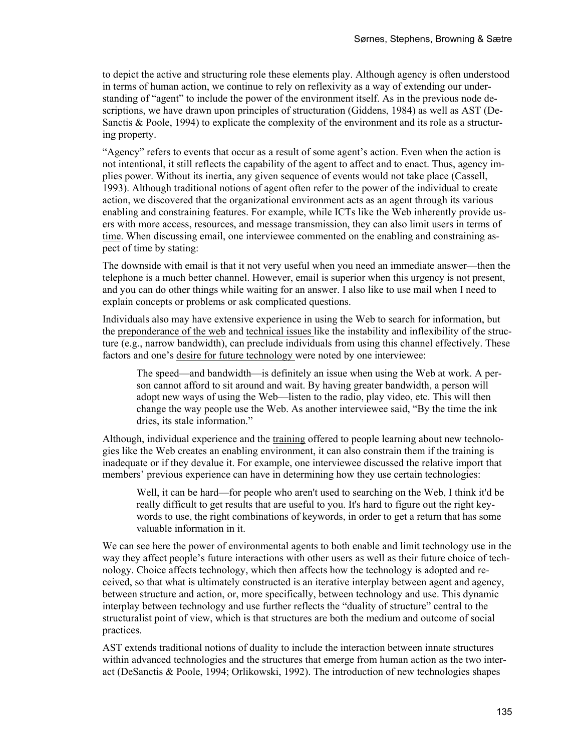to depict the active and structuring role these elements play. Although agency is often understood in terms of human action, we continue to rely on reflexivity as a way of extending our understanding of "agent" to include the power of the environment itself. As in the previous node descriptions, we have drawn upon principles of structuration (Giddens, 1984) as well as AST (De-Sanctis & Poole, 1994) to explicate the complexity of the environment and its role as a structuring property.

"Agency" refers to events that occur as a result of some agent's action. Even when the action is not intentional, it still reflects the capability of the agent to affect and to enact. Thus, agency implies power. Without its inertia, any given sequence of events would not take place (Cassell, 1993). Although traditional notions of agent often refer to the power of the individual to create action, we discovered that the organizational environment acts as an agent through its various enabling and constraining features. For example, while ICTs like the Web inherently provide users with more access, resources, and message transmission, they can also limit users in terms of time. When discussing email, one interviewee commented on the enabling and constraining aspect of time by stating:

The downside with email is that it not very useful when you need an immediate answer—then the telephone is a much better channel. However, email is superior when this urgency is not present, and you can do other things while waiting for an answer. I also like to use mail when I need to explain concepts or problems or ask complicated questions.

Individuals also may have extensive experience in using the Web to search for information, but the preponderance of the web and technical issues like the instability and inflexibility of the structure (e.g., narrow bandwidth), can preclude individuals from using this channel effectively. These factors and one's desire for future technology were noted by one interviewee:

The speed—and bandwidth—is definitely an issue when using the Web at work. A person cannot afford to sit around and wait. By having greater bandwidth, a person will adopt new ways of using the Web—listen to the radio, play video, etc. This will then change the way people use the Web. As another interviewee said, "By the time the ink dries, its stale information."

Although, individual experience and the training offered to people learning about new technologies like the Web creates an enabling environment, it can also constrain them if the training is inadequate or if they devalue it. For example, one interviewee discussed the relative import that members' previous experience can have in determining how they use certain technologies:

Well, it can be hard—for people who aren't used to searching on the Web, I think it'd be really difficult to get results that are useful to you. It's hard to figure out the right keywords to use, the right combinations of keywords, in order to get a return that has some valuable information in it.

We can see here the power of environmental agents to both enable and limit technology use in the way they affect people's future interactions with other users as well as their future choice of technology. Choice affects technology, which then affects how the technology is adopted and received, so that what is ultimately constructed is an iterative interplay between agent and agency, between structure and action, or, more specifically, between technology and use. This dynamic interplay between technology and use further reflects the "duality of structure" central to the structuralist point of view, which is that structures are both the medium and outcome of social practices.

AST extends traditional notions of duality to include the interaction between innate structures within advanced technologies and the structures that emerge from human action as the two interact (DeSanctis & Poole, 1994; Orlikowski, 1992). The introduction of new technologies shapes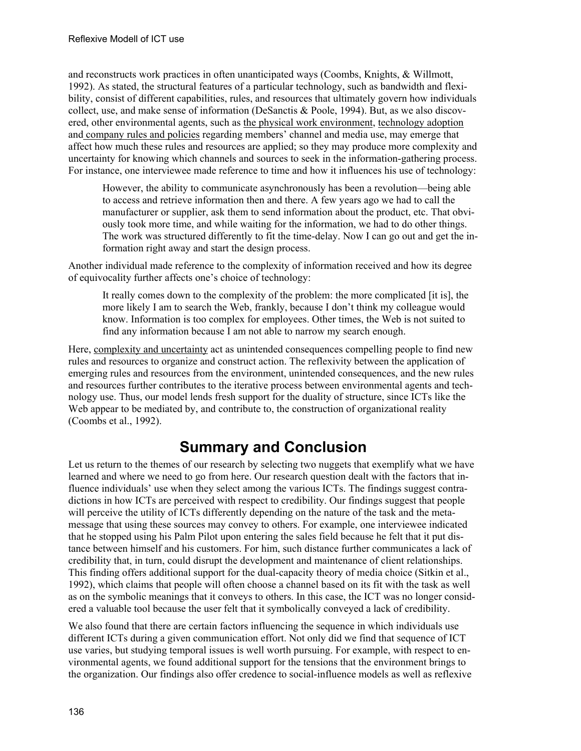and reconstructs work practices in often unanticipated ways (Coombs, Knights, & Willmott, 1992). As stated, the structural features of a particular technology, such as bandwidth and flexibility, consist of different capabilities, rules, and resources that ultimately govern how individuals collect, use, and make sense of information (DeSanctis & Poole, 1994). But, as we also discovered, other environmental agents, such as the physical work environment, technology adoption and company rules and policies regarding members' channel and media use, may emerge that affect how much these rules and resources are applied; so they may produce more complexity and uncertainty for knowing which channels and sources to seek in the information-gathering process. For instance, one interviewee made reference to time and how it influences his use of technology:

However, the ability to communicate asynchronously has been a revolution—being able to access and retrieve information then and there. A few years ago we had to call the manufacturer or supplier, ask them to send information about the product, etc. That obviously took more time, and while waiting for the information, we had to do other things. The work was structured differently to fit the time-delay. Now I can go out and get the information right away and start the design process.

Another individual made reference to the complexity of information received and how its degree of equivocality further affects one's choice of technology:

It really comes down to the complexity of the problem: the more complicated [it is], the more likely I am to search the Web, frankly, because I don't think my colleague would know. Information is too complex for employees. Other times, the Web is not suited to find any information because I am not able to narrow my search enough.

Here, complexity and uncertainty act as unintended consequences compelling people to find new rules and resources to organize and construct action. The reflexivity between the application of emerging rules and resources from the environment, unintended consequences, and the new rules and resources further contributes to the iterative process between environmental agents and technology use. Thus, our model lends fresh support for the duality of structure, since ICTs like the Web appear to be mediated by, and contribute to, the construction of organizational reality (Coombs et al., 1992).

# **Summary and Conclusion**

Let us return to the themes of our research by selecting two nuggets that exemplify what we have learned and where we need to go from here. Our research question dealt with the factors that influence individuals' use when they select among the various ICTs. The findings suggest contradictions in how ICTs are perceived with respect to credibility. Our findings suggest that people will perceive the utility of ICTs differently depending on the nature of the task and the metamessage that using these sources may convey to others. For example, one interviewee indicated that he stopped using his Palm Pilot upon entering the sales field because he felt that it put distance between himself and his customers. For him, such distance further communicates a lack of credibility that, in turn, could disrupt the development and maintenance of client relationships. This finding offers additional support for the dual-capacity theory of media choice (Sitkin et al., 1992), which claims that people will often choose a channel based on its fit with the task as well as on the symbolic meanings that it conveys to others. In this case, the ICT was no longer considered a valuable tool because the user felt that it symbolically conveyed a lack of credibility.

We also found that there are certain factors influencing the sequence in which individuals use different ICTs during a given communication effort. Not only did we find that sequence of ICT use varies, but studying temporal issues is well worth pursuing. For example, with respect to environmental agents, we found additional support for the tensions that the environment brings to the organization. Our findings also offer credence to social-influence models as well as reflexive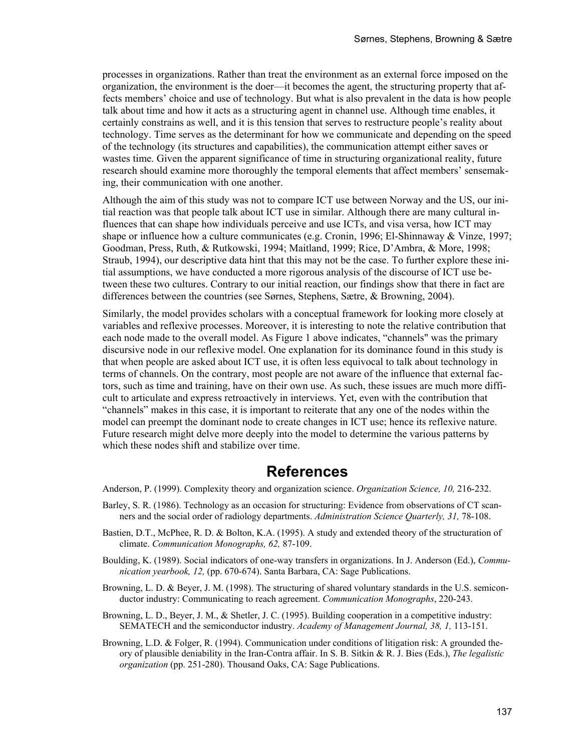processes in organizations. Rather than treat the environment as an external force imposed on the organization, the environment is the doer—it becomes the agent, the structuring property that affects members' choice and use of technology. But what is also prevalent in the data is how people talk about time and how it acts as a structuring agent in channel use. Although time enables, it certainly constrains as well, and it is this tension that serves to restructure people's reality about technology. Time serves as the determinant for how we communicate and depending on the speed of the technology (its structures and capabilities), the communication attempt either saves or wastes time. Given the apparent significance of time in structuring organizational reality, future research should examine more thoroughly the temporal elements that affect members' sensemaking, their communication with one another.

Although the aim of this study was not to compare ICT use between Norway and the US, our initial reaction was that people talk about ICT use in similar. Although there are many cultural influences that can shape how individuals perceive and use ICTs, and visa versa, how ICT may shape or influence how a culture communicates (e.g. Cronin, 1996; El-Shinnaway & Vinze, 1997; Goodman, Press, Ruth, & Rutkowski, 1994; Maitland, 1999; Rice, D'Ambra, & More, 1998; Straub, 1994), our descriptive data hint that this may not be the case. To further explore these initial assumptions, we have conducted a more rigorous analysis of the discourse of ICT use between these two cultures. Contrary to our initial reaction, our findings show that there in fact are differences between the countries (see Sørnes, Stephens, Sætre, & Browning, 2004).

Similarly, the model provides scholars with a conceptual framework for looking more closely at variables and reflexive processes. Moreover, it is interesting to note the relative contribution that each node made to the overall model. As Figure 1 above indicates, "channels" was the primary discursive node in our reflexive model. One explanation for its dominance found in this study is that when people are asked about ICT use, it is often less equivocal to talk about technology in terms of channels. On the contrary, most people are not aware of the influence that external factors, such as time and training, have on their own use. As such, these issues are much more difficult to articulate and express retroactively in interviews. Yet, even with the contribution that "channels" makes in this case, it is important to reiterate that any one of the nodes within the model can preempt the dominant node to create changes in ICT use; hence its reflexive nature. Future research might delve more deeply into the model to determine the various patterns by which these nodes shift and stabilize over time.

### **References**

Anderson, P. (1999). Complexity theory and organization science. *Organization Science, 10,* 216-232.

- Barley, S. R. (1986). Technology as an occasion for structuring: Evidence from observations of CT scanners and the social order of radiology departments. *Administration Science Quarterly, 31,* 78-108.
- Bastien, D.T., McPhee, R. D. & Bolton, K.A. (1995). A study and extended theory of the structuration of climate. *Communication Monographs, 62,* 87-109.
- Boulding, K. (1989). Social indicators of one-way transfers in organizations. In J. Anderson (Ed.), *Communication yearbook, 12,* (pp. 670-674). Santa Barbara, CA: Sage Publications.
- Browning, L. D. & Beyer, J. M. (1998). The structuring of shared voluntary standards in the U.S. semiconductor industry: Communicating to reach agreement. *Communication Monographs*, 220-243.
- Browning, L. D., Beyer, J. M., & Shetler, J. C. (1995). Building cooperation in a competitive industry: SEMATECH and the semiconductor industry. *Academy of Management Journal, 38, 1,* 113-151.
- Browning, L.D. & Folger, R. (1994). Communication under conditions of litigation risk: A grounded theory of plausible deniability in the Iran-Contra affair. In S. B. Sitkin & R. J. Bies (Eds.), *The legalistic organization* (pp. 251-280). Thousand Oaks, CA: Sage Publications.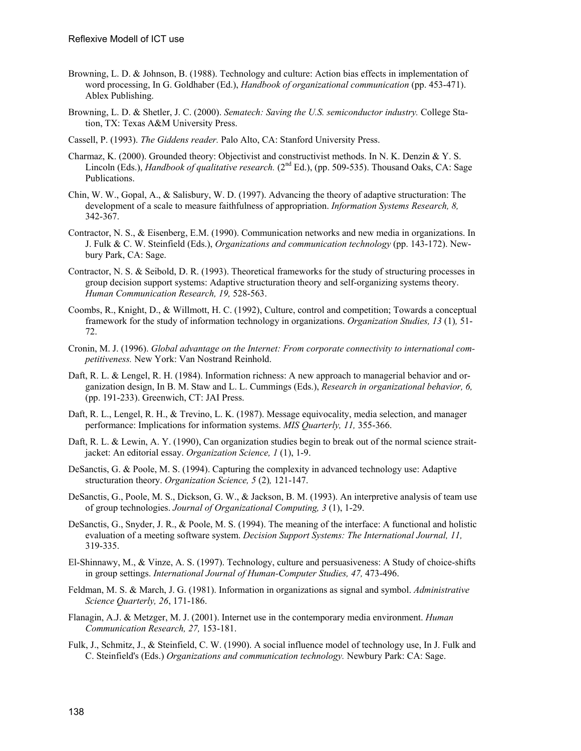- Browning, L. D. & Johnson, B. (1988). Technology and culture: Action bias effects in implementation of word processing, In G. Goldhaber (Ed.), *Handbook of organizational communication* (pp. 453-471). Ablex Publishing.
- Browning, L. D. & Shetler, J. C. (2000). *Sematech: Saving the U.S. semiconductor industry.* College Station, TX: Texas A&M University Press.
- Cassell, P. (1993). *The Giddens reader.* Palo Alto, CA: Stanford University Press.
- Charmaz, K. (2000). Grounded theory: Objectivist and constructivist methods. In N. K. Denzin & Y. S. Lincoln (Eds.), *Handbook of qualitative research.* (2<sup>nd</sup> Ed.), (pp. 509-535). Thousand Oaks, CA: Sage Publications.
- Chin, W. W., Gopal, A., & Salisbury, W. D. (1997). Advancing the theory of adaptive structuration: The development of a scale to measure faithfulness of appropriation. *Information Systems Research, 8,* 342-367.
- Contractor, N. S., & Eisenberg, E.M. (1990). Communication networks and new media in organizations. In J. Fulk & C. W. Steinfield (Eds.), *Organizations and communication technology* (pp. 143-172). Newbury Park, CA: Sage.
- Contractor, N. S. & Seibold, D. R. (1993). Theoretical frameworks for the study of structuring processes in group decision support systems: Adaptive structuration theory and self-organizing systems theory. *Human Communication Research, 19,* 528-563.
- Coombs, R., Knight, D., & Willmott, H. C. (1992), Culture, control and competition; Towards a conceptual framework for the study of information technology in organizations. *Organization Studies, 13* (1)*,* 51- 72.
- Cronin, M. J. (1996). *Global advantage on the Internet: From corporate connectivity to international competitiveness.* New York: Van Nostrand Reinhold.
- Daft, R. L. & Lengel, R. H. (1984). Information richness: A new approach to managerial behavior and organization design, In B. M. Staw and L. L. Cummings (Eds.), *Research in organizational behavior, 6,* (pp. 191-233). Greenwich, CT: JAI Press.
- Daft, R. L., Lengel, R. H., & Trevino, L. K. (1987). Message equivocality, media selection, and manager performance: Implications for information systems. *MIS Quarterly, 11,* 355-366.
- Daft, R. L. & Lewin, A. Y. (1990), Can organization studies begin to break out of the normal science straitjacket: An editorial essay. *Organization Science, 1* (1), 1-9.
- DeSanctis, G. & Poole, M. S. (1994). Capturing the complexity in advanced technology use: Adaptive structuration theory. *Organization Science, 5* (2)*,* 121-147.
- DeSanctis, G., Poole, M. S., Dickson, G. W., & Jackson, B. M. (1993). An interpretive analysis of team use of group technologies. *Journal of Organizational Computing, 3* (1), 1-29.
- DeSanctis, G., Snyder, J. R., & Poole, M. S. (1994). The meaning of the interface: A functional and holistic evaluation of a meeting software system. *Decision Support Systems: The International Journal, 11,* 319-335.
- El-Shinnawy, M., & Vinze, A. S. (1997). Technology, culture and persuasiveness: A Study of choice-shifts in group settings. *International Journal of Human-Computer Studies, 47,* 473-496.
- Feldman, M. S. & March, J. G. (1981). Information in organizations as signal and symbol. *Administrative Science Quarterly, 26*, 171-186.
- Flanagin, A.J. & Metzger, M. J. (2001). Internet use in the contemporary media environment. *Human Communication Research, 27,* 153-181.
- Fulk, J., Schmitz, J., & Steinfield, C. W. (1990). A social influence model of technology use, In J. Fulk and C. Steinfield's (Eds.) *Organizations and communication technology.* Newbury Park: CA: Sage.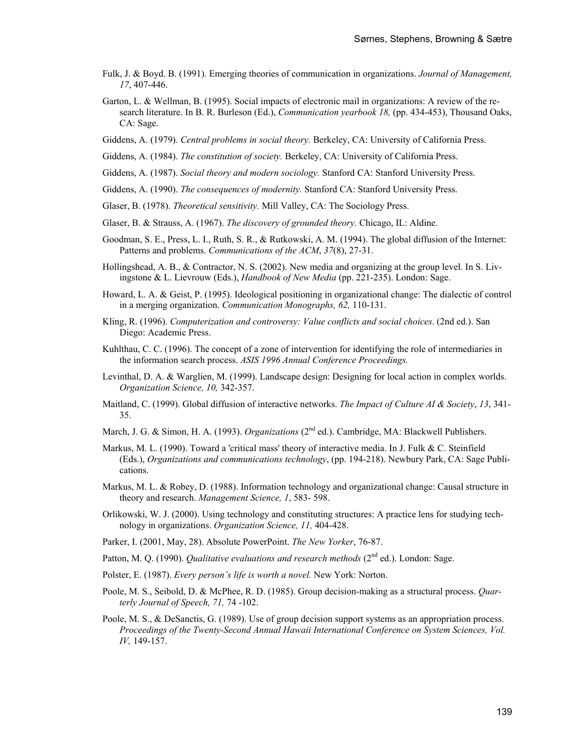- Fulk, J. & Boyd. B. (1991). Emerging theories of communication in organizations. *Journal of Management, 17*, 407-446.
- Garton, L. & Wellman, B. (1995). Social impacts of electronic mail in organizations: A review of the research literature. In B. R. Burleson (Ed.), *Communication yearbook 18,* (pp. 434-453), Thousand Oaks, CA: Sage.
- Giddens, A. (1979). *Central problems in social theory.* Berkeley, CA: University of California Press.
- Giddens, A. (1984). *The constitution of society.* Berkeley, CA: University of California Press.
- Giddens, A. (1987). *Social theory and modern sociology.* Stanford CA: Stanford University Press.
- Giddens, A. (1990). *The consequences of modernity.* Stanford CA: Stanford University Press.
- Glaser, B. (1978). *Theoretical sensitivity.* Mill Valley, CA: The Sociology Press.
- Glaser, B. & Strauss, A. (1967). *The discovery of grounded theory.* Chicago, IL: Aldine.
- Goodman, S. E., Press, L. I., Ruth, S. R., & Rutkowski, A. M. (1994). The global diffusion of the Internet: Patterns and problems. *Communications of the ACM*, *37*(8), 27-31.
- Hollingshead, A. B., & Contractor, N. S. (2002). New media and organizing at the group level. In S. Livingstone & L. Lievrouw (Eds.), *Handbook of New Media* (pp. 221-235). London: Sage.
- Howard, L. A. & Geist, P. (1995). Ideological positioning in organizational change: The dialectic of control in a merging organization. *Communication Monographs, 62,* 110-131.
- Kling, R. (1996). *Computerization and controversy: Value conflicts and social choices*. (2nd ed.). San Diego: Academic Press.
- Kuhlthau, C. C. (1996). The concept of a zone of intervention for identifying the role of intermediaries in the information search process. *ASIS 1996 Annual Conference Proceedings.*
- Levinthal, D. A. & Warglien, M. (1999). Landscape design: Designing for local action in complex worlds. *Organization Science, 10,* 342-357.
- Maitland, C. (1999). Global diffusion of interactive networks. *The Impact of Culture AI & Society*, *13*, 341- 35.
- March, J. G. & Simon, H. A. (1993). *Organizations* (2<sup>nd</sup> ed.). Cambridge, MA: Blackwell Publishers.
- Markus, M. L. (1990). Toward a 'critical mass' theory of interactive media. In J. Fulk & C. Steinfield (Eds.), *Organizations and communications technology*, (pp. 194-218). Newbury Park, CA: Sage Publications.
- Markus, M. L. & Robey, D. (1988). Information technology and organizational change: Causal structure in theory and research. *Management Science, 1*, 583- 598.
- Orlikowski, W. J. (2000). Using technology and constituting structures: A practice lens for studying technology in organizations. *Organization Science, 11,* 404-428.
- Parker, I. (2001, May, 28). Absolute PowerPoint. *The New Yorker*, 76-87.
- Patton, M. Q. (1990). *Qualitative evaluations and research methods* (2<sup>nd</sup> ed.). London: Sage.
- Polster, E. (1987). *Every person's life is worth a novel.* New York: Norton.
- Poole, M. S., Seibold, D. & McPhee, R. D. (1985). Group decision-making as a structural process. *Quarterly Journal of Speech, 71,* 74 -102.
- Poole, M. S., & DeSanctis, G. (1989). Use of group decision support systems as an appropriation process. *Proceedings of the Twenty-Second Annual Hawaii International Conference on System Sciences, Vol. IV,* 149-157.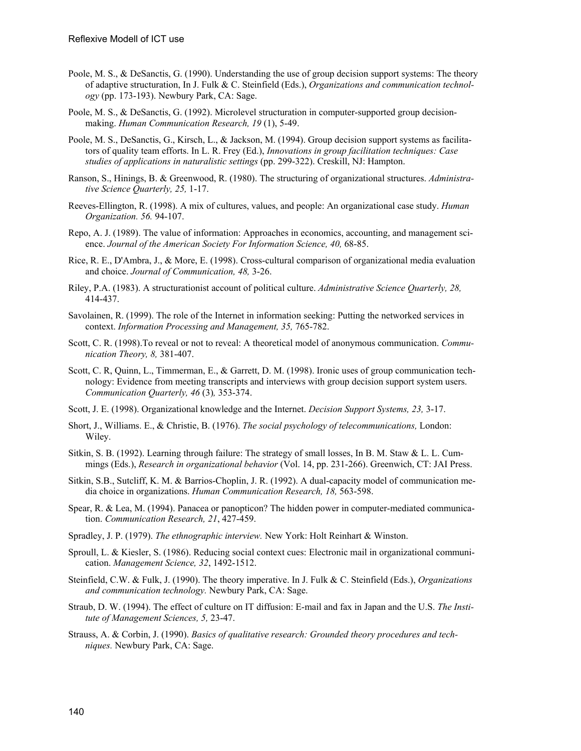- Poole, M. S., & DeSanctis, G. (1990). Understanding the use of group decision support systems: The theory of adaptive structuration, In J. Fulk & C. Steinfield (Eds.), *Organizations and communication technology* (pp. 173-193). Newbury Park, CA: Sage.
- Poole, M. S., & DeSanctis, G. (1992). Microlevel structuration in computer-supported group decisionmaking. *Human Communication Research, 19* (1), 5-49.
- Poole, M. S., DeSanctis, G., Kirsch, L., & Jackson, M. (1994). Group decision support systems as facilitators of quality team efforts. In L. R. Frey (Ed.), *Innovations in group facilitation techniques: Case studies of applications in naturalistic settings* (pp. 299-322). Creskill, NJ: Hampton.
- Ranson, S., Hinings, B. & Greenwood, R. (1980). The structuring of organizational structures. *Administrative Science Quarterly, 25,* 1-17.
- Reeves-Ellington, R. (1998). A mix of cultures, values, and people: An organizational case study. *Human Organization. 56.* 94-107.
- Repo, A. J. (1989). The value of information: Approaches in economics, accounting, and management science. *Journal of the American Society For Information Science, 40,* 68-85.
- Rice, R. E., D'Ambra, J., & More, E. (1998). Cross-cultural comparison of organizational media evaluation and choice. *Journal of Communication, 48,* 3-26.
- Riley, P.A. (1983). A structurationist account of political culture. *Administrative Science Quarterly, 28,* 414-437.
- Savolainen, R. (1999). The role of the Internet in information seeking: Putting the networked services in context. *Information Processing and Management, 35,* 765-782.
- Scott, C. R. (1998).To reveal or not to reveal: A theoretical model of anonymous communication. *Communication Theory, 8,* 381-407.
- Scott, C. R, Quinn, L., Timmerman, E., & Garrett, D. M. (1998). Ironic uses of group communication technology: Evidence from meeting transcripts and interviews with group decision support system users. *Communication Quarterly, 46* (3)*,* 353-374.
- Scott, J. E. (1998). Organizational knowledge and the Internet. *Decision Support Systems, 23,* 3-17.
- Short, J., Williams. E., & Christie, B. (1976). *The social psychology of telecommunications,* London: Wiley.
- Sitkin, S. B. (1992). Learning through failure: The strategy of small losses, In B. M. Staw & L. L. Cummings (Eds.), *Research in organizational behavior* (Vol. 14, pp. 231-266). Greenwich, CT: JAI Press.
- Sitkin, S.B., Sutcliff, K. M. & Barrios-Choplin, J. R. (1992). A dual-capacity model of communication media choice in organizations. *Human Communication Research, 18,* 563-598.
- Spear, R. & Lea, M. (1994). Panacea or panopticon? The hidden power in computer-mediated communication. *Communication Research, 21*, 427-459.
- Spradley, J. P. (1979). *The ethnographic interview.* New York: Holt Reinhart & Winston.
- Sproull, L. & Kiesler, S. (1986). Reducing social context cues: Electronic mail in organizational communication. *Management Science, 32*, 1492-1512.
- Steinfield, C.W. & Fulk, J. (1990). The theory imperative. In J. Fulk & C. Steinfield (Eds.), *Organizations and communication technology.* Newbury Park, CA: Sage.
- Straub, D. W. (1994). The effect of culture on IT diffusion: E-mail and fax in Japan and the U.S. *The Institute of Management Sciences, 5,* 23-47.
- Strauss, A. & Corbin, J. (1990). *Basics of qualitative research: Grounded theory procedures and techniques.* Newbury Park, CA: Sage.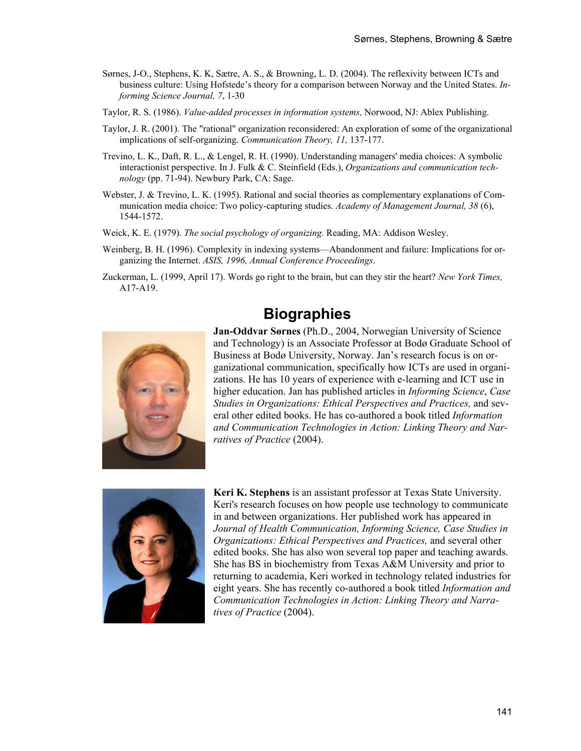- Sørnes, J-O., Stephens, K. K, Sætre, A. S., & Browning, L. D. (2004). The reflexivity between ICTs and business culture: Using Hofstede's theory for a comparison between Norway and the United States. *Informing Science Journal, 7*, 1-30
- Taylor, R. S. (1986). *Value-added processes in information systems,* Norwood, NJ: Ablex Publishing.
- Taylor, J. R. (2001). The "rational" organization reconsidered: An exploration of some of the organizational implications of self-organizing. *Communication Theory, 11,* 137-177.
- Trevino, L. K., Daft, R. L., & Lengel, R. H. (1990). Understanding managers' media choices: A symbolic interactionist perspective. In J. Fulk & C. Steinfield (Eds.), *Organizations and communication technology* (pp. 71-94). Newbury Park, CA: Sage.
- Webster, J. & Trevino, L. K. (1995). Rational and social theories as complementary explanations of Communication media choice: Two policy-capturing studies. *Academy of Management Journal, 38* (6), 1544-1572.
- Weick, K. E. (1979). *The social psychology of organizing.* Reading, MA: Addison Wesley.
- Weinberg, B. H. (1996). Complexity in indexing systems—Abandonment and failure: Implications for organizing the Internet. *ASIS, 1996, Annual Conference Proceedings*.
- Zuckerman, L. (1999, April 17). Words go right to the brain, but can they stir the heart? *New York Times,* A17-A19.

## **Biographies**



**Jan-Oddvar Sørnes** (Ph.D., 2004, Norwegian University of Science and Technology) is an Associate Professor at Bodø Graduate School of Business at Bodø University, Norway. Jan's research focus is on organizational communication, specifically how ICTs are used in organizations. He has 10 years of experience with e-learning and ICT use in higher education. Jan has published articles in *Informing Science*, *Case Studies in Organizations: Ethical Perspectives and Practices,* and several other edited books. He has co-authored a book titled *Information and Communication Technologies in Action: Linking Theory and Narratives of Practice* (2004).



**Keri K. Stephens** is an assistant professor at Texas State University. Keri's research focuses on how people use technology to communicate in and between organizations. Her published work has appeared in *Journal of Health Communication, Informing Science, Case Studies in Organizations: Ethical Perspectives and Practices,* and several other edited books. She has also won several top paper and teaching awards. She has BS in biochemistry from Texas A&M University and prior to returning to academia, Keri worked in technology related industries for eight years. She has recently co-authored a book titled *Information and Communication Technologies in Action: Linking Theory and Narratives of Practice* (2004).